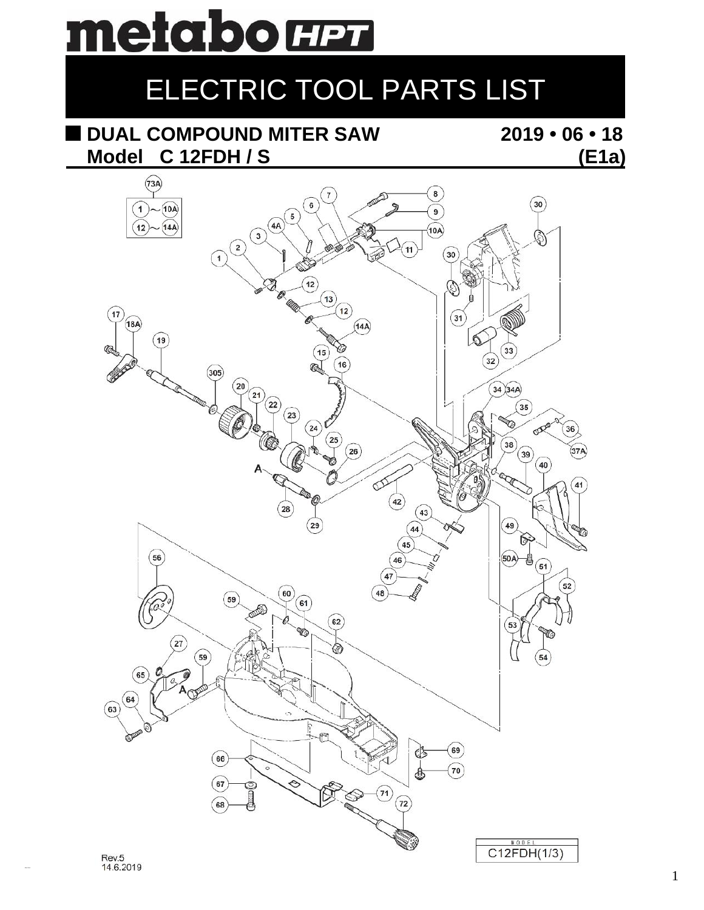# metabo **HPT**

## ELECTRIC TOOL PARTS LIST

## **DUAL COMPOUND MITER SAW 2019 • 06 • 18 Model C 12FDH / S (E1a)**

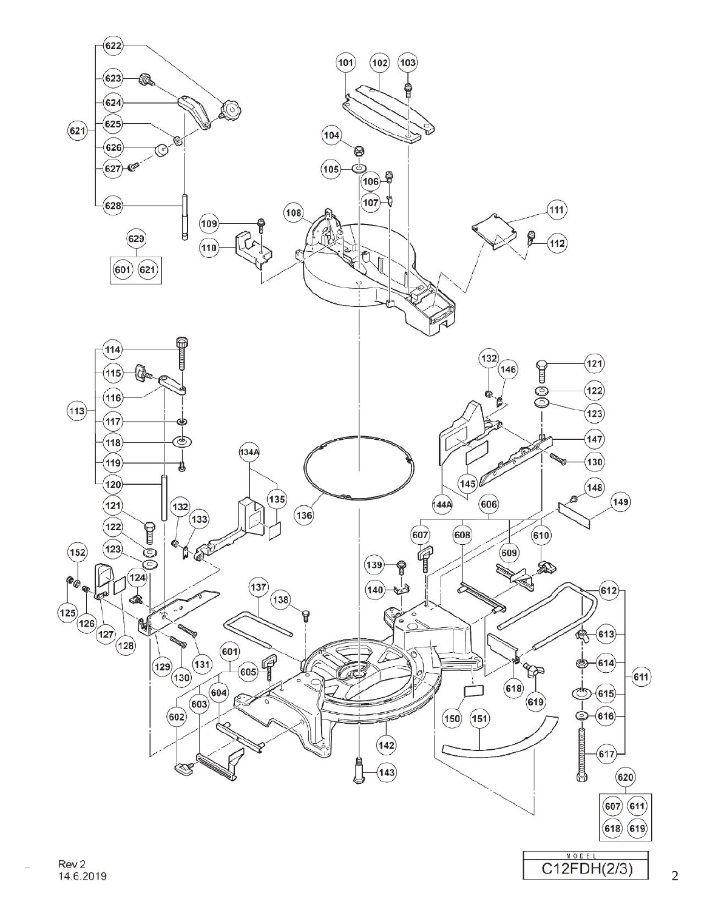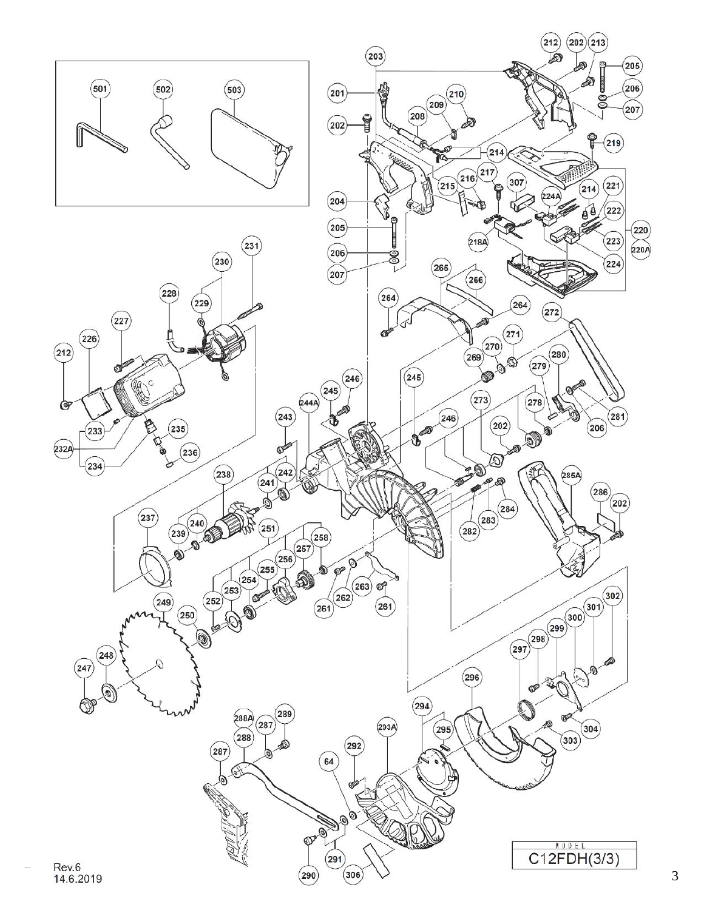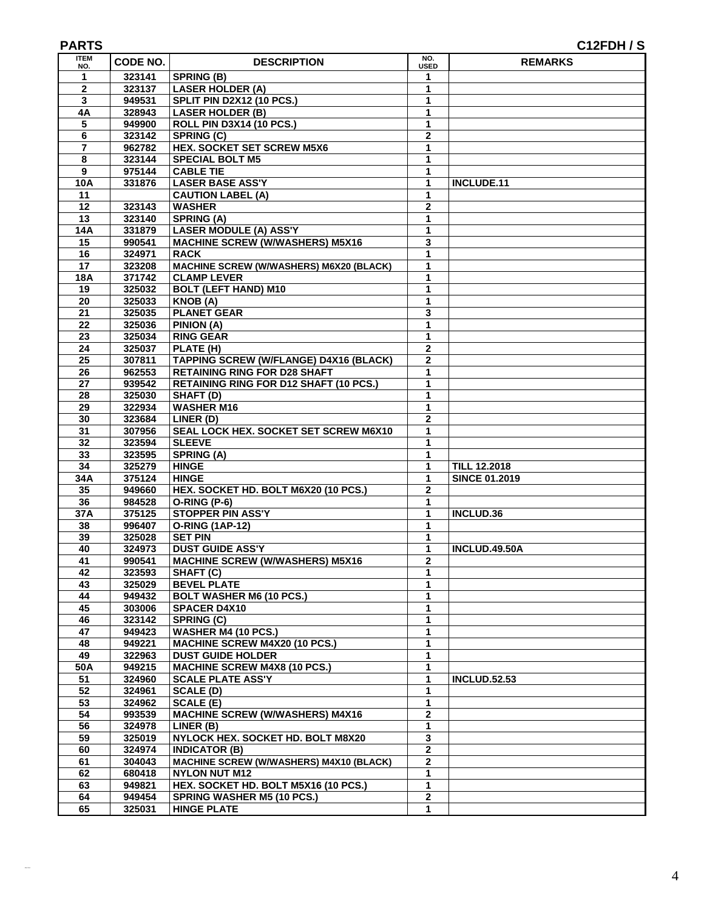| <b>ITEM</b><br>NO. | CODE NO.         | <b>DESCRIPTION</b>                                      | NO.<br><b>USED</b>           | <b>REMARKS</b>       |
|--------------------|------------------|---------------------------------------------------------|------------------------------|----------------------|
| 1                  | 323141           | <b>SPRING (B)</b>                                       | 1                            |                      |
| $\mathbf{2}$       | 323137           | <b>LASER HOLDER (A)</b>                                 | 1                            |                      |
| 3                  | 949531           | SPLIT PIN D2X12 (10 PCS.)                               | 1                            |                      |
| 4A                 | 328943           | <b>LASER HOLDER (B)</b>                                 | 1                            |                      |
| 5                  | 949900           | ROLL PIN D3X14 (10 PCS.)                                | 1                            |                      |
| 6                  | 323142           | <b>SPRING (C)</b>                                       | $\mathbf 2$                  |                      |
| 7                  | 962782           | <b>HEX. SOCKET SET SCREW M5X6</b>                       | 1                            |                      |
| 8                  | 323144           | <b>SPECIAL BOLT M5</b>                                  | 1                            |                      |
| 9                  | 975144           | <b>CABLE TIE</b>                                        | 1                            |                      |
| <b>10A</b>         | 331876           | <b>LASER BASE ASS'Y</b>                                 | $\mathbf{1}$                 | INCLUDE.11           |
| 11                 |                  | <b>CAUTION LABEL (A)</b>                                | 1                            |                      |
| 12                 | 323143           | <b>WASHER</b>                                           | $\mathbf 2$                  |                      |
| 13                 | 323140           | <b>SPRING (A)</b>                                       | $\mathbf{1}$                 |                      |
| <b>14A</b>         | 331879           | <b>LASER MODULE (A) ASS'Y</b>                           | $\mathbf{1}$                 |                      |
| 15                 | 990541           | <b>MACHINE SCREW (W/WASHERS) M5X16</b>                  | 3                            |                      |
| 16<br>17           | 324971<br>323208 | <b>RACK</b><br>MACHINE SCREW (W/WASHERS) M6X20 (BLACK)  | $\mathbf{1}$<br>$\mathbf{1}$ |                      |
| <b>18A</b>         | 371742           | <b>CLAMP LEVER</b>                                      | 1                            |                      |
| 19                 | 325032           | <b>BOLT (LEFT HAND) M10</b>                             | 1                            |                      |
| 20                 | 325033           | KNOB(A)                                                 | $\mathbf{1}$                 |                      |
| 21                 | 325035           | <b>PLANET GEAR</b>                                      | 3                            |                      |
| 22                 | 325036           | PINION (A)                                              | 1                            |                      |
| 23                 | 325034           | <b>RING GEAR</b>                                        | 1                            |                      |
| 24                 | 325037           | PLATE (H)                                               | $\overline{2}$               |                      |
| 25                 | 307811           | <b>TAPPING SCREW (W/FLANGE) D4X16 (BLACK)</b>           | $\mathbf{2}$                 |                      |
| 26                 | 962553           | <b>RETAINING RING FOR D28 SHAFT</b>                     | 1                            |                      |
| 27                 | 939542           | <b>RETAINING RING FOR D12 SHAFT (10 PCS.)</b>           | 1                            |                      |
| 28                 | 325030           | SHAFT (D)                                               | $\mathbf{1}$                 |                      |
| 29                 | 322934           | <b>WASHER M16</b>                                       | $\mathbf{1}$                 |                      |
| 30                 | 323684           | <b>LINER</b> $(D)$                                      | $\overline{\mathbf{2}}$      |                      |
| $\overline{31}$    | 307956           | SEAL LOCK HEX. SOCKET SET SCREW M6X10                   | 1                            |                      |
| 32                 | 323594           | <b>SLEEVE</b>                                           | 1                            |                      |
| 33                 | 323595           | <b>SPRING (A)</b>                                       | 1                            |                      |
| 34                 | 325279           | <b>HINGE</b>                                            | 1                            | <b>TILL 12.2018</b>  |
| 34A                | 375124           | <b>HINGE</b>                                            | $\mathbf{1}$                 | <b>SINCE 01.2019</b> |
| 35                 | 949660           | HEX. SOCKET HD. BOLT M6X20 (10 PCS.)                    | $\mathbf{2}$                 |                      |
| 36                 | 984528           | <b>O-RING (P-6)</b>                                     | $\mathbf{1}$                 |                      |
| 37A<br>38          | 375125<br>996407 | <b>STOPPER PIN ASS'Y</b><br><b>O-RING (1AP-12)</b>      | $\mathbf{1}$<br>1            | INCLUD.36            |
| 39                 | 325028           | <b>SET PIN</b>                                          | 1                            |                      |
| 40                 | 324973           | <b>DUST GUIDE ASS'Y</b>                                 | 1                            | <b>INCLUD.49.50A</b> |
| 41                 | 990541           | <b>MACHINE SCREW (W/WASHERS) M5X16</b>                  | $\mathbf{2}$                 |                      |
| 42                 | 323593           | SHAFT (C)                                               | 1                            |                      |
| 43                 | 325029           | <b>BEVEL PLATE</b>                                      | $\mathbf{1}$                 |                      |
| 44                 | 949432           | <b>BOLT WASHER M6 (10 PCS.)</b>                         | $\mathbf{1}$                 |                      |
| 45                 | 303006           | <b>SPACER D4X10</b>                                     | 1                            |                      |
| 46                 | 323142           | SPRING (C)                                              | 1                            |                      |
| 47                 | 949423           | WASHER M4 (10 PCS.)                                     | 1                            |                      |
| 48                 | 949221           | MACHINE SCREW M4X20 (10 PCS.)                           | $\mathbf 1$                  |                      |
| 49                 | 322963           | <b>DUST GUIDE HOLDER</b>                                | 1                            |                      |
| <b>50A</b>         | 949215           | <b>MACHINE SCREW M4X8 (10 PCS.)</b>                     | $\mathbf{1}$                 |                      |
| 51                 | 324960           | <b>SCALE PLATE ASS'Y</b>                                | $\mathbf{1}$                 | <b>INCLUD.52.53</b>  |
| 52                 | 324961           | <b>SCALE (D)</b>                                        | 1                            |                      |
| $\overline{53}$    | 324962           | <b>SCALE (E)</b>                                        | 1                            |                      |
| 54                 | 993539           | <b>MACHINE SCREW (W/WASHERS) M4X16</b>                  | $\mathbf 2$                  |                      |
| 56                 | 324978           | LINER (B)                                               | $\mathbf 1$                  |                      |
| 59                 | 325019           | NYLOCK HEX. SOCKET HD. BOLT M8X20                       | 3                            |                      |
| 60                 | 324974           | <b>INDICATOR (B)</b>                                    | $\overline{2}$               |                      |
| 61                 | 304043           | MACHINE SCREW (W/WASHERS) M4X10 (BLACK)                 | $\mathbf{2}$                 |                      |
| 62                 | 680418           | <b>NYLON NUT M12</b>                                    | 1                            |                      |
| 63<br>64           | 949821<br>949454 | HEX. SOCKET HD. BOLT M5X16 (10 PCS.)                    | 1<br>$\mathbf 2$             |                      |
| 65                 |                  | <b>SPRING WASHER M5 (10 PCS.)</b><br><b>HINGE PLATE</b> | $\mathbf{1}$                 |                      |
|                    | 325031           |                                                         |                              |                      |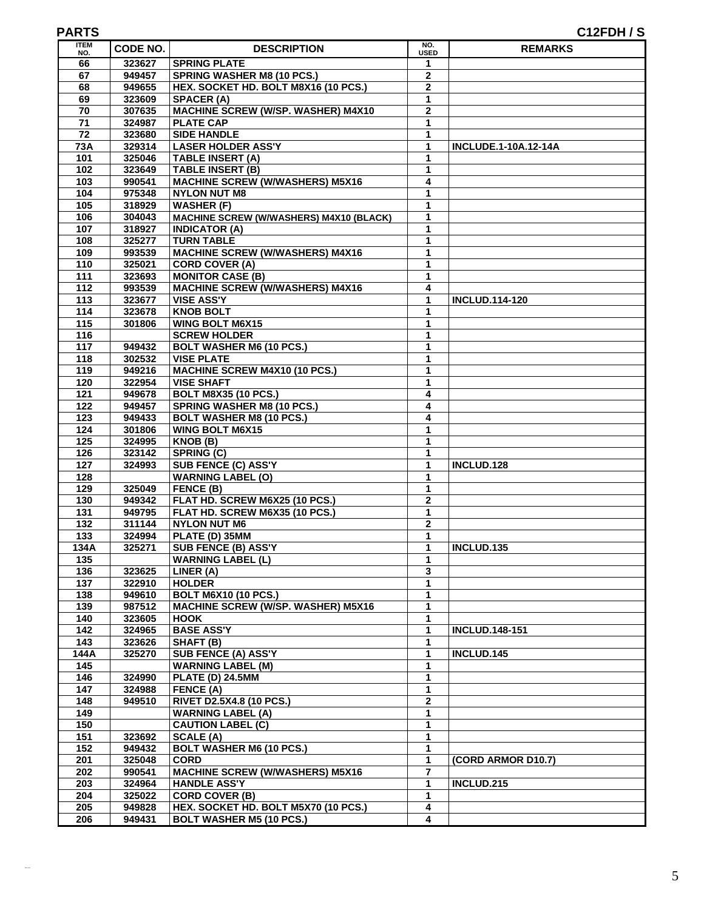### **PARTS C12FDH / S**

| <b>ITEM</b><br>NO.     | <b>CODE NO.</b>  | <b>DESCRIPTION</b>                                                       | NO.<br><b>USED</b> | <b>REMARKS</b>              |
|------------------------|------------------|--------------------------------------------------------------------------|--------------------|-----------------------------|
| 66                     | 323627           | <b>SPRING PLATE</b>                                                      | 1                  |                             |
| 67                     | 949457           | <b>SPRING WASHER M8 (10 PCS.)</b>                                        | $\mathbf{2}$       |                             |
| 68                     | 949655           | HEX. SOCKET HD. BOLT M8X16 (10 PCS.)                                     | $\mathbf{2}$       |                             |
| 69                     | 323609           | <b>SPACER (A)</b>                                                        | 1                  |                             |
| 70                     | 307635           | MACHINE SCREW (W/SP. WASHER) M4X10                                       | $\mathbf 2$        |                             |
| 71                     | 324987           | <b>PLATE CAP</b>                                                         | 1                  |                             |
| 72                     | 323680           | <b>SIDE HANDLE</b>                                                       | 1                  |                             |
| <b>73A</b>             | 329314           | <b>LASER HOLDER ASS'Y</b>                                                | 1                  | <b>INCLUDE.1-10A.12-14A</b> |
| 101                    | 325046<br>323649 | <b>TABLE INSERT (A)</b><br><b>TABLE INSERT (B)</b>                       | 1<br>1             |                             |
| 102<br>103             | 990541           | <b>MACHINE SCREW (W/WASHERS) M5X16</b>                                   | 4                  |                             |
| 104                    | 975348           | <b>NYLON NUT M8</b>                                                      | 1                  |                             |
| 105                    | 318929           | <b>WASHER (F)</b>                                                        | 1                  |                             |
| 106                    | 304043           | MACHINE SCREW (W/WASHERS) M4X10 (BLACK)                                  | 1                  |                             |
| 107                    | 318927           | <b>INDICATOR (A)</b>                                                     | 1                  |                             |
| 108                    | 325277           | <b>TURN TABLE</b>                                                        | 1                  |                             |
| 109                    | 993539           | <b>MACHINE SCREW (W/WASHERS) M4X16</b>                                   | 1                  |                             |
| 110                    | 325021           | <b>CORD COVER (A)</b>                                                    | 1                  |                             |
| 111                    | 323693           | <b>MONITOR CASE (B)</b>                                                  | 1                  |                             |
| 112                    | 993539           | <b>MACHINE SCREW (W/WASHERS) M4X16</b>                                   | 4                  |                             |
| 113                    | 323677           | <b>VISE ASS'Y</b>                                                        | 1                  | <b>INCLUD.114-120</b>       |
| 114                    | 323678           | <b>KNOB BOLT</b>                                                         | 1                  |                             |
| 115                    | 301806           | <b>WING BOLT M6X15</b>                                                   | 1                  |                             |
| $\frac{1}{16}$         |                  | <b>SCREW HOLDER</b>                                                      | 1                  |                             |
| $\frac{1}{117}$        | 949432           | <b>BOLT WASHER M6 (10 PCS.)</b>                                          | 1                  |                             |
| 118                    | 302532           | <b>VISE PLATE</b>                                                        | 1                  |                             |
| 119                    | 949216           | MACHINE SCREW M4X10 (10 PCS.)                                            | 1                  |                             |
| 120                    | 322954           | <b>VISE SHAFT</b>                                                        | 1                  |                             |
| 121<br>122             | 949678<br>949457 | <b>BOLT M8X35 (10 PCS.)</b><br><b>SPRING WASHER M8 (10 PCS.)</b>         | 4<br>4             |                             |
| 123                    | 949433           | <b>BOLT WASHER M8 (10 PCS.)</b>                                          | 4                  |                             |
| 124                    | 301806           | <b>WING BOLT M6X15</b>                                                   | 1                  |                             |
| 125                    | 324995           | KNOB(B)                                                                  | 1                  |                             |
| $\frac{1}{126}$        | 323142           | SPRING (C)                                                               | 1                  |                             |
| $\frac{1}{127}$        | 324993           | SUB FENCE (C) ASS'Y                                                      | 1                  | INCLUD.128                  |
| 128                    |                  | <b>WARNING LABEL (O)</b>                                                 | 1                  |                             |
| 129                    | 325049           | FENCE (B)                                                                | 1                  |                             |
| 130                    | 949342           | FLAT HD. SCREW M6X25 (10 PCS.)                                           | $\mathbf 2$        |                             |
| 131                    | 949795           | FLAT HD. SCREW M6X35 (10 PCS.)                                           | 1                  |                             |
| 132                    | 311144           | <b>NYLON NUT M6</b>                                                      | $\mathbf{2}$       |                             |
| $\overline{133}$       | 324994           | PLATE (D) 35MM                                                           | 1                  |                             |
| 134A                   | 325271           | <b>SUB FENCE (B) ASS'Y</b>                                               | 1                  | INCLUD.135                  |
| 135                    |                  | <b>WARNING LABEL (L)</b>                                                 | 1                  |                             |
| 136                    | 323625           | LINER (A)                                                                | 3                  |                             |
| 137                    | 322910           | <b>HOLDER</b>                                                            | 1                  |                             |
| 138                    | 949610           | <b>BOLT M6X10 (10 PCS.)</b><br><b>MACHINE SCREW (W/SP. WASHER) M5X16</b> | 1<br>1             |                             |
| 139<br>$\frac{1}{140}$ | 987512<br>323605 | <b>HOOK</b>                                                              | 1                  |                             |
| 142                    | 324965           | <b>BASE ASS'Y</b>                                                        | 1                  | <b>INCLUD.148-151</b>       |
| 143                    | 323626           | SHAFT (B)                                                                | 1                  |                             |
| 144A                   | 325270           | SUB FENCE (A) ASS'Y                                                      | 1                  | INCLUD.145                  |
| 145                    |                  | <b>WARNING LABEL (M)</b>                                                 | 1                  |                             |
| 146                    | 324990           | <b>PLATE (D) 24.5MM</b>                                                  | 1                  |                             |
| 147                    | 324988           | FENCE (A)                                                                | 1                  |                             |
| $\frac{1}{148}$        | 949510           | RIVET D2.5X4.8 (10 PCS.)                                                 | $\overline{2}$     |                             |
| 149                    |                  | <b>WARNING LABEL (A)</b>                                                 | 1                  |                             |
| 150                    |                  | <b>CAUTION LABEL (C)</b>                                                 | 1                  |                             |
| 151                    | 323692           | <b>SCALE (A)</b>                                                         | 1                  |                             |
| 152                    | 949432           | <b>BOLT WASHER M6 (10 PCS.)</b>                                          | 1                  |                             |
| 201                    | 325048           | <b>CORD</b>                                                              | 1                  | (CORD ARMOR D10.7)          |
| 202                    | 990541           | <b>MACHINE SCREW (W/WASHERS) M5X16</b>                                   | 7                  |                             |
| 203                    | 324964           | <b>HANDLE ASS'Y</b>                                                      | 1                  | INCLUD.215                  |
| 204                    | 325022           | <b>CORD COVER (B)</b>                                                    | 1                  |                             |
| 205                    | 949828           | HEX. SOCKET HD. BOLT M5X70 (10 PCS.)                                     | 4<br>4             |                             |
| 206                    | 949431           | <b>BOLT WASHER M5 (10 PCS.)</b>                                          |                    |                             |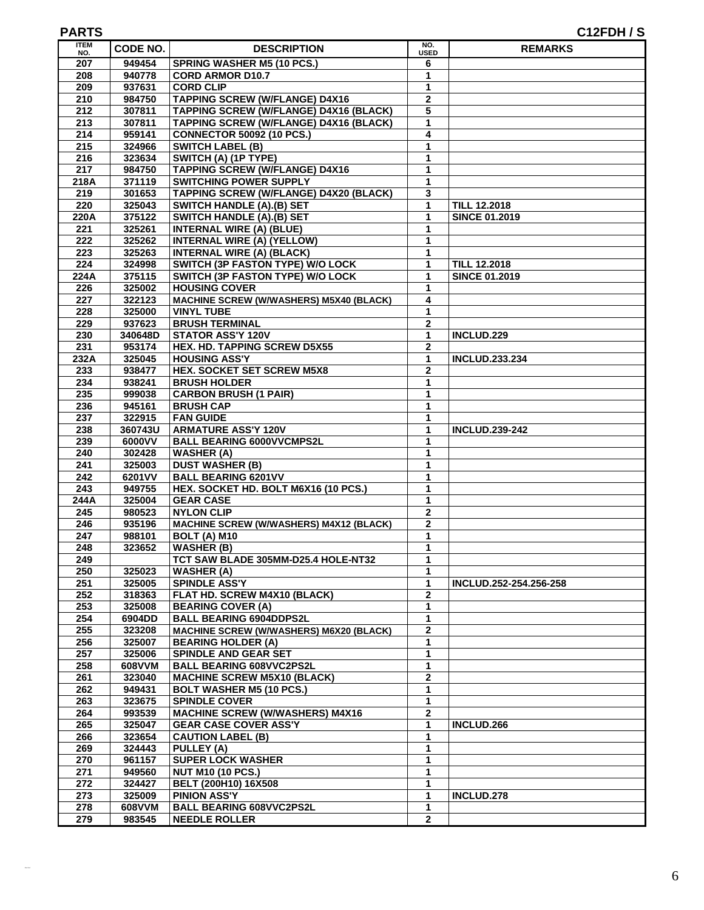### **PARTS C12FDH / S**

| <b>ITEM</b><br>NO. | CODE NO.         | <b>DESCRIPTION</b>                                                     | NO.<br><b>USED</b>  | <b>REMARKS</b>         |
|--------------------|------------------|------------------------------------------------------------------------|---------------------|------------------------|
| 207                | 949454           | <b>SPRING WASHER M5 (10 PCS.)</b>                                      | 6                   |                        |
| 208                | 940778           | <b>CORD ARMOR D10.7</b>                                                | 1                   |                        |
| 209                | 937631           | <b>CORD CLIP</b>                                                       | 1                   |                        |
| 210                | 984750           | <b>TAPPING SCREW (W/FLANGE) D4X16</b>                                  | $\overline{2}$      |                        |
| 212                | 307811           | <b>TAPPING SCREW (W/FLANGE) D4X16 (BLACK)</b>                          | 5                   |                        |
| 213                | 307811           | <b>TAPPING SCREW (W/FLANGE) D4X16 (BLACK)</b>                          | 1                   |                        |
| 214                | 959141           | <b>CONNECTOR 50092 (10 PCS.)</b>                                       | 4                   |                        |
| 215                | 324966           | <b>SWITCH LABEL (B)</b>                                                | 1                   |                        |
| 216<br>217         | 323634<br>984750 | SWITCH (A) (1P TYPE)<br><b>TAPPING SCREW (W/FLANGE) D4X16</b>          | 1<br>1              |                        |
| 218A               | 371119           | <b>SWITCHING POWER SUPPLY</b>                                          | 1                   |                        |
| 219                | 301653           | <b>TAPPING SCREW (W/FLANGE) D4X20 (BLACK)</b>                          | 3                   |                        |
| 220                | 325043           | <b>SWITCH HANDLE (A).(B) SET</b>                                       | 1                   | <b>TILL 12.2018</b>    |
| 220A               | 375122           | <b>SWITCH HANDLE (A).(B) SET</b>                                       | 1                   | <b>SINCE 01.2019</b>   |
| 221                | 325261           | <b>INTERNAL WIRE (A) (BLUE)</b>                                        | 1                   |                        |
| 222                | 325262           | <b>INTERNAL WIRE (A) (YELLOW)</b>                                      | 1                   |                        |
| 223                | 325263           | <b>INTERNAL WIRE (A) (BLACK)</b>                                       | 1                   |                        |
| $\overline{224}$   | 324998           | <b>SWITCH (3P FASTON TYPE) W/O LOCK</b>                                | 1                   | <b>TILL 12.2018</b>    |
| 224A               | 375115           | SWITCH (3P FASTON TYPE) W/O LOCK                                       | 1                   | <b>SINCE 01.2019</b>   |
| 226                | 325002           | <b>HOUSING COVER</b>                                                   | 1                   |                        |
| 227                | 322123           | MACHINE SCREW (W/WASHERS) M5X40 (BLACK)                                | 4                   |                        |
| 228                | 325000           | <b>VINYL TUBE</b>                                                      | 1                   |                        |
| 229                | 937623           | <b>BRUSH TERMINAL</b>                                                  | 2                   |                        |
| 230                | 340648D          | <b>STATOR ASS'Y 120V</b>                                               | 1                   | INCLUD.229             |
| 231                | 953174           | <b>HEX. HD. TAPPING SCREW D5X55</b>                                    | $\overline{2}$      |                        |
| 232A<br>233        | 325045<br>938477 | <b>HOUSING ASS'Y</b><br><b>HEX. SOCKET SET SCREW M5X8</b>              | 1<br>$\overline{2}$ | <b>INCLUD.233.234</b>  |
| 234                | 938241           | <b>BRUSH HOLDER</b>                                                    | 1                   |                        |
| 235                | 999038           | <b>CARBON BRUSH (1 PAIR)</b>                                           | 1                   |                        |
| 236                | 945161           | <b>BRUSH CAP</b>                                                       | $\mathbf 1$         |                        |
| 237                | 322915           | <b>FAN GUIDE</b>                                                       | 1                   |                        |
| 238                | 360743U          | <b>ARMATURE ASS'Y 120V</b>                                             | 1                   | <b>INCLUD.239-242</b>  |
| 239                | 6000VV           | <b>BALL BEARING 6000VVCMPS2L</b>                                       | 1                   |                        |
| 240                | 302428           | <b>WASHER (A)</b>                                                      | 1                   |                        |
| 241                | 325003           | <b>DUST WASHER (B)</b>                                                 | 1                   |                        |
| 242                | 6201VV           | <b>BALL BEARING 6201VV</b>                                             | $\mathbf{1}$        |                        |
| 243                | 949755           | HEX. SOCKET HD. BOLT M6X16 (10 PCS.)                                   | 1                   |                        |
| 244A               | 325004           | <b>GEAR CASE</b>                                                       | 1                   |                        |
| 245                | 980523           | <b>NYLON CLIP</b>                                                      | $\overline{2}$      |                        |
| 246                | 935196           | <b>MACHINE SCREW (W/WASHERS) M4X12 (BLACK)</b>                         | $\mathbf 2$         |                        |
| 247<br>248         | 988101<br>323652 | <b>BOLT (A) M10</b><br><b>WASHER (B)</b>                               | 1<br>1              |                        |
| 249                |                  | TCT SAW BLADE 305MM-D25.4 HOLE-NT32                                    | 1                   |                        |
| 250                | 325023           | <b>WASHER (A)</b>                                                      | $\mathbf{1}$        |                        |
| 251                | 325005           | <b>SPINDLE ASS'Y</b>                                                   | 1                   | INCLUD.252-254.256-258 |
| 252                | 318363           | FLAT HD. SCREW M4X10 (BLACK)                                           | $\mathbf 2$         |                        |
| 253                | 325008           | <b>BEARING COVER (A)</b>                                               | 1                   |                        |
| 254                | 6904DD           | <b>BALL BEARING 6904DDPS2L</b>                                         | $\mathbf{1}$        |                        |
| 255                | 323208           | MACHINE SCREW (W/WASHERS) M6X20 (BLACK)                                | $\mathbf{2}$        |                        |
| 256                | 325007           | <b>BEARING HOLDER (A)</b>                                              | 1                   |                        |
| 257                | 325006           | SPINDLE AND GEAR SET                                                   | $\mathbf{1}$        |                        |
| 258                | 608VVM           | <b>BALL BEARING 608VVC2PS2L</b>                                        | 1                   |                        |
| 261                | 323040           | <b>MACHINE SCREW M5X10 (BLACK)</b>                                     | $\mathbf{2}$        |                        |
| 262                | 949431           | <b>BOLT WASHER M5 (10 PCS.)</b>                                        | $\mathbf 1$         |                        |
| 263                | 323675           | <b>SPINDLE COVER</b>                                                   | $\mathbf{1}$        |                        |
| 264<br>265         | 993539<br>325047 | <b>MACHINE SCREW (W/WASHERS) M4X16</b><br><b>GEAR CASE COVER ASS'Y</b> | 2<br>1              | INCLUD.266             |
| 266                | 323654           | <b>CAUTION LABEL (B)</b>                                               | $\mathbf 1$         |                        |
| 269                | 324443           | PULLEY (A)                                                             | 1                   |                        |
| 270                | 961157           | <b>SUPER LOCK WASHER</b>                                               | $\mathbf{1}$        |                        |
| 271                | 949560           | <b>NUT M10 (10 PCS.)</b>                                               | 1                   |                        |
| $\overline{272}$   | 324427           | BELT (200H10) 16X508                                                   | 1                   |                        |
| 273                | 325009           | <b>PINION ASS'Y</b>                                                    | $\mathbf{1}$        | <b>INCLUD.278</b>      |
| 278                | 608VVM           | <b>BALL BEARING 608VVC2PS2L</b>                                        | 1                   |                        |
| 279                | 983545           | <b>NEEDLE ROLLER</b>                                                   | $\mathbf{2}$        |                        |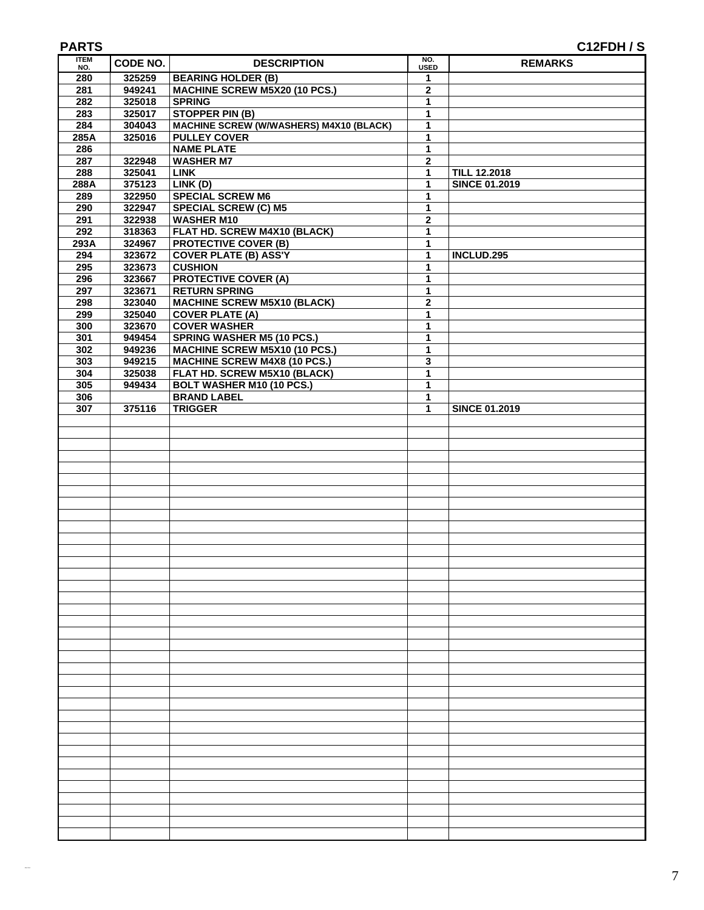| <b>ITEM</b><br>NO. | CODE NO. | <b>DESCRIPTION</b>                      | NO.<br><b>USED</b> | <b>REMARKS</b>       |
|--------------------|----------|-----------------------------------------|--------------------|----------------------|
| 280                | 325259   | <b>BEARING HOLDER (B)</b>               | $\mathbf{1}$       |                      |
| 281                | 949241   | MACHINE SCREW M5X20 (10 PCS.)           | $\overline{2}$     |                      |
| 282                | 325018   | <b>SPRING</b>                           | $\mathbf{1}$       |                      |
| 283                | 325017   | <b>STOPPER PIN (B)</b>                  | 1                  |                      |
| 284                | 304043   | MACHINE SCREW (W/WASHERS) M4X10 (BLACK) | 1                  |                      |
| 285A               | 325016   | <b>PULLEY COVER</b>                     | 1                  |                      |
| 286                |          | <b>NAME PLATE</b>                       | 1                  |                      |
| 287                | 322948   | <b>WASHER M7</b>                        | $\mathbf 2$        |                      |
| 288                | 325041   | <b>LINK</b>                             | $\mathbf{1}$       | <b>TILL 12.2018</b>  |
| 288A               | 375123   | LINK(D)                                 | $\mathbf{1}$       | <b>SINCE 01.2019</b> |
| 289                | 322950   | <b>SPECIAL SCREW M6</b>                 | 1                  |                      |
| 290                | 322947   | <b>SPECIAL SCREW (C) M5</b>             | 1                  |                      |
| 291                | 322938   | <b>WASHER M10</b>                       | $\mathbf 2$        |                      |
| 292                | 318363   | FLAT HD. SCREW M4X10 (BLACK)            | $\mathbf{1}$       |                      |
| 293A               | 324967   | <b>PROTECTIVE COVER (B)</b>             | 1                  |                      |
| 294                | 323672   | <b>COVER PLATE (B) ASS'Y</b>            | 1                  | INCLUD.295           |
|                    | 323673   | <b>CUSHION</b>                          | $\mathbf{1}$       |                      |
| 295                |          | <b>PROTECTIVE COVER (A)</b>             |                    |                      |
| 296                | 323667   |                                         | $\mathbf{1}$       |                      |
| 297                | 323671   | <b>RETURN SPRING</b>                    | 1                  |                      |
| 298                | 323040   | <b>MACHINE SCREW M5X10 (BLACK)</b>      | $\mathbf 2$        |                      |
| 299                | 325040   | <b>COVER PLATE (A)</b>                  | $\mathbf{1}$       |                      |
| 300                | 323670   | <b>COVER WASHER</b>                     | 1                  |                      |
| 301                | 949454   | <b>SPRING WASHER M5 (10 PCS.)</b>       | 1                  |                      |
| 302                | 949236   | MACHINE SCREW M5X10 (10 PCS.)           | $\mathbf{1}$       |                      |
| 303                | 949215   | <b>MACHINE SCREW M4X8 (10 PCS.)</b>     | 3                  |                      |
| 304                | 325038   | FLAT HD. SCREW M5X10 (BLACK)            | 1                  |                      |
| 305                | 949434   | <b>BOLT WASHER M10 (10 PCS.)</b>        | $\mathbf{1}$       |                      |
| 306                |          | <b>BRAND LABEL</b>                      | $\mathbf{1}$       |                      |
| 307                | 375116   | <b>TRIGGER</b>                          | 1                  | <b>SINCE 01.2019</b> |
|                    |          |                                         |                    |                      |
|                    |          |                                         |                    |                      |
|                    |          |                                         |                    |                      |
|                    |          |                                         |                    |                      |
|                    |          |                                         |                    |                      |
|                    |          |                                         |                    |                      |
|                    |          |                                         |                    |                      |
|                    |          |                                         |                    |                      |
|                    |          |                                         |                    |                      |
|                    |          |                                         |                    |                      |
|                    |          |                                         |                    |                      |
|                    |          |                                         |                    |                      |
|                    |          |                                         |                    |                      |
|                    |          |                                         |                    |                      |
|                    |          |                                         |                    |                      |
|                    |          |                                         |                    |                      |
|                    |          |                                         |                    |                      |
|                    |          |                                         |                    |                      |
|                    |          |                                         |                    |                      |
|                    |          |                                         |                    |                      |
|                    |          |                                         |                    |                      |
|                    |          |                                         |                    |                      |
|                    |          |                                         |                    |                      |
|                    |          |                                         |                    |                      |
|                    |          |                                         |                    |                      |
|                    |          |                                         |                    |                      |
|                    |          |                                         |                    |                      |
|                    |          |                                         |                    |                      |
|                    |          |                                         |                    |                      |
|                    |          |                                         |                    |                      |
|                    |          |                                         |                    |                      |
|                    |          |                                         |                    |                      |
|                    |          |                                         |                    |                      |
|                    |          |                                         |                    |                      |
|                    |          |                                         |                    |                      |
|                    |          |                                         |                    |                      |
|                    |          |                                         |                    |                      |